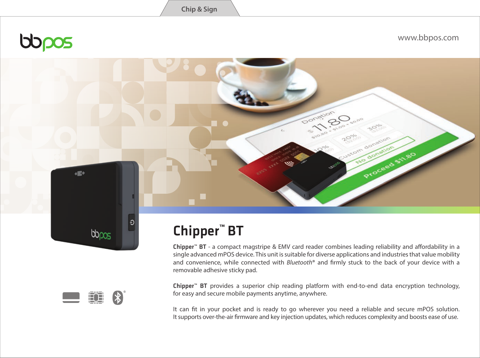bopos

www.bbpos.com

# $\Theta$  $b_{\text{DOS}}$



 $400$ 

## Chipper**™** BT

Chipper™ BT - a compact magstripe & EMV card reader combines leading reliability and affordability in a single advanced mPOS device. This unit is suitable for diverse applications and industries that value mobility and convenience, while connected with *Bluetooth*<sup>®</sup> and firmly stuck to the back of your device with a removable adhesive sticky pad.

Donation

Proceed

Chipper™ BT provides a superior chip reading platform with end-to-end data encryption technology, for easy and secure mobile payments anytime, anywhere.

It can fit in your pocket and is ready to go wherever you need a reliable and secure mPOS solution. It supports over-the-air firmware and key injection updates, which reduces complexity and boosts ease of use.